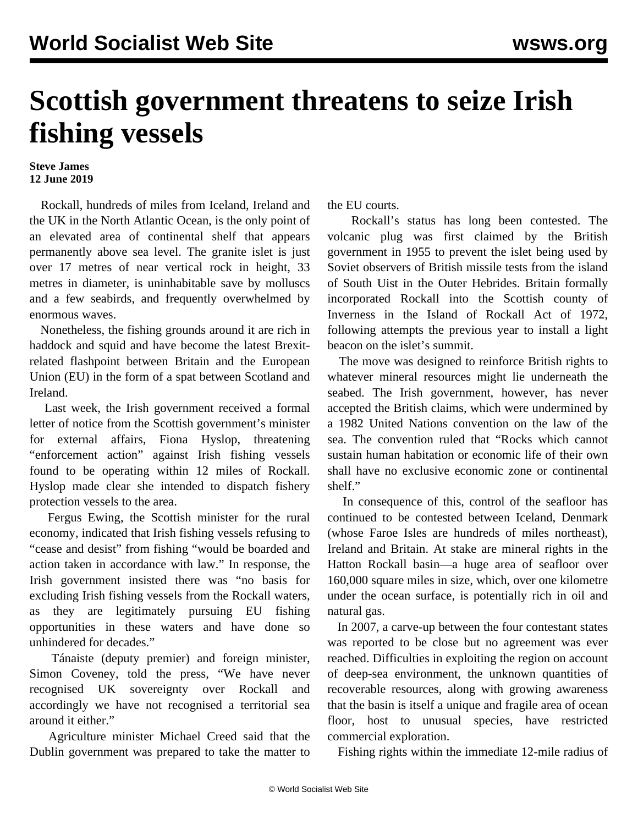## **Scottish government threatens to seize Irish fishing vessels**

## **Steve James 12 June 2019**

 Rockall, hundreds of miles from Iceland, Ireland and the UK in the North Atlantic Ocean, is the only point of an elevated area of continental shelf that appears permanently above sea level. The granite islet is just over 17 metres of near vertical rock in height, 33 metres in diameter, is uninhabitable save by molluscs and a few seabirds, and frequently overwhelmed by enormous waves.

 Nonetheless, the fishing grounds around it are rich in haddock and squid and have become the latest Brexitrelated flashpoint between Britain and the European Union (EU) in the form of a spat between Scotland and Ireland.

 Last week, the Irish government received a formal letter of notice from the Scottish government's minister for external affairs, Fiona Hyslop, threatening "enforcement action" against Irish fishing vessels found to be operating within 12 miles of Rockall. Hyslop made clear she intended to dispatch fishery protection vessels to the area.

 Fergus Ewing, the Scottish minister for the rural economy, indicated that Irish fishing vessels refusing to "cease and desist" from fishing "would be boarded and action taken in accordance with law." In response, the Irish government insisted there was "no basis for excluding Irish fishing vessels from the Rockall waters, as they are legitimately pursuing EU fishing opportunities in these waters and have done so unhindered for decades."

 Tánaiste (deputy premier) and foreign minister, Simon Coveney, told the press, "We have never recognised UK sovereignty over Rockall and accordingly we have not recognised a territorial sea around it either."

 Agriculture minister Michael Creed said that the Dublin government was prepared to take the matter to the EU courts.

 Rockall's status has long been contested. The volcanic plug was first claimed by the British government in 1955 to prevent the islet being used by Soviet observers of British missile tests from the island of South Uist in the Outer Hebrides. Britain formally incorporated Rockall into the Scottish county of Inverness in the Island of Rockall Act of 1972, following attempts the previous year to install a light beacon on the islet's summit.

 The move was designed to reinforce British rights to whatever mineral resources might lie underneath the seabed. The Irish government, however, has never accepted the British claims, which were undermined by a 1982 United Nations convention on the law of the sea. The convention ruled that "Rocks which cannot sustain human habitation or economic life of their own shall have no exclusive economic zone or continental shelf."

 In consequence of this, control of the seafloor has continued to be contested between Iceland, Denmark (whose Faroe Isles are hundreds of miles northeast), Ireland and Britain. At stake are mineral rights in the Hatton Rockall basin—a huge area of seafloor over 160,000 square miles in size, which, over one kilometre under the ocean surface, is potentially rich in oil and natural gas.

 In 2007, a carve-up between the four contestant states was reported to be close but no agreement was ever reached. Difficulties in exploiting the region on account of deep-sea environment, the unknown quantities of recoverable resources, along with growing awareness that the basin is itself a unique and fragile area of ocean floor, host to unusual species, have restricted commercial exploration.

Fishing rights within the immediate 12-mile radius of